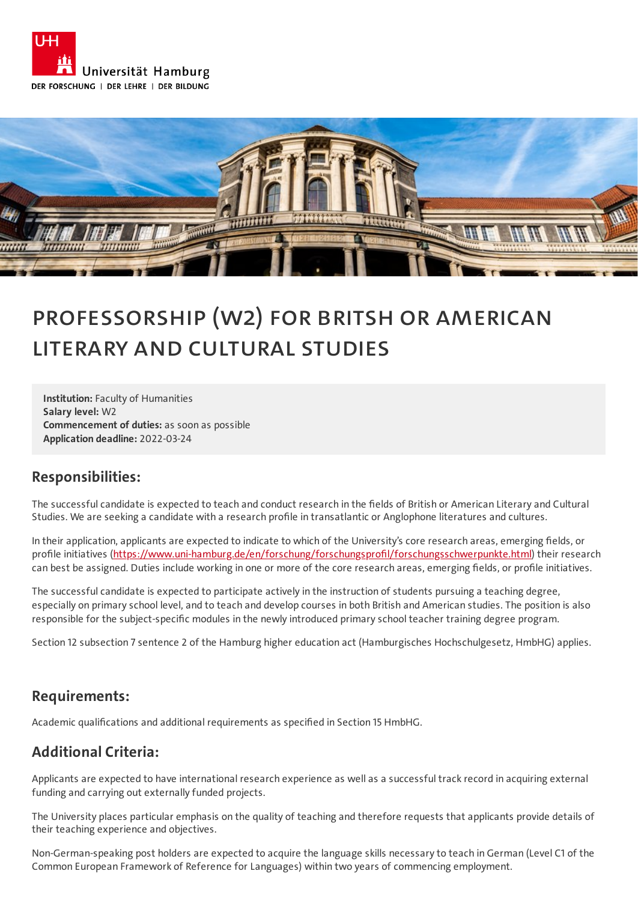



# Professorship (W2) for Britsh or American Literary and Cultural Studies

**Institution:** Faculty of Humanities **Salary level:** W2 **Commencement of duties:** as soon as possible **Application deadline:** 2022-03-24

### **Responsibilities:**

The successful candidate is expected to teach and conduct research in the fields of British or American Literary and Cultural Studies. We are seeking a candidate with a research profile in transatlantic or Anglophone literatures and cultures.

In their application, applicants are expected to indicate to which of the University's core research areas, emerging fields, or profile initiatives (<https://www.uni-hamburg.de/en/forschung/forschungsprofil/forschungsschwerpunkte.html>) their research can best be assigned. Duties include working in one or more of the core research areas, emerging fields, or profile initiatives.

The successful candidate is expected to participate actively in the instruction of students pursuing a teaching degree, especially on primary school level, and to teach and develop courses in both British and American studies. The position is also responsible for the subject-specific modules in the newly introduced primary school teacher training degree program.

Section 12 subsection 7 sentence 2 of the Hamburg higher education act (Hamburgisches Hochschulgesetz, HmbHG) applies.

### **Requirements:**

Academic qualifications and additional requirements as specified in Section 15 HmbHG.

### **Additional Criteria:**

Applicants are expected to have international research experience as well as a successful track record in acquiring external funding and carrying out externally funded projects.

The University places particular emphasis on the quality of teaching and therefore requests that applicants provide details of their teaching experience and objectives.

Non-German-speaking post holders are expected to acquire the language skills necessary to teach in German (Level C1 of the Common European Framework of Reference for Languages) within two years of commencing employment.